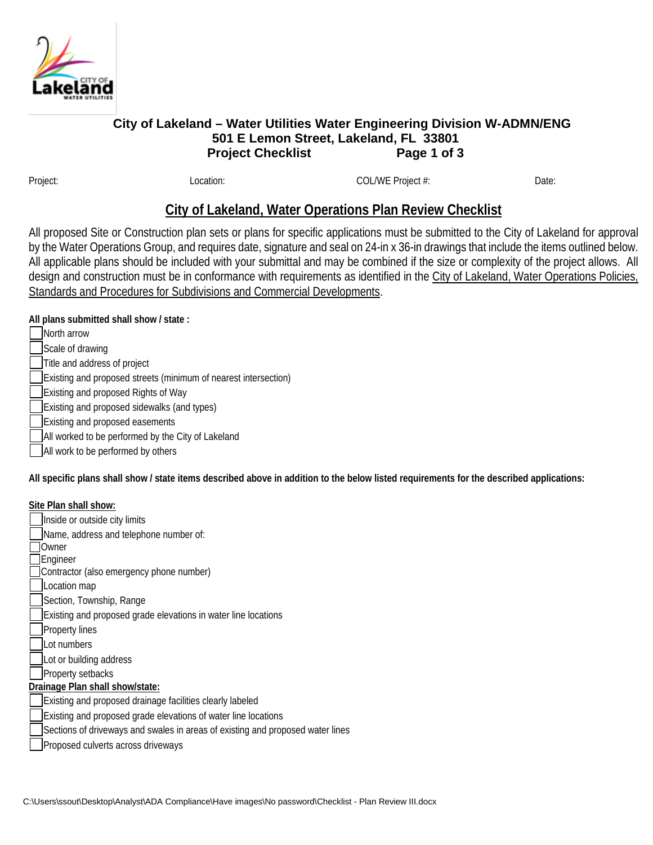

## **City of Lakeland – Water Utilities Water Engineering Division W-ADMN/ENG 501 E Lemon Street, Lakeland, FL 33801 Project Checklist** Page 1 of 3

Project: COL/WE Project: Date: COL/WE Project #: Date: Date:

## **City of Lakeland, Water Operations Plan Review Checklist**

All proposed Site or Construction plan sets or plans for specific applications must be submitted to the City of Lakeland for approval by the Water Operations Group, and requires date, signature and seal on 24-in x 36-in drawings that include the items outlined below. All applicable plans should be included with your submittal and may be combined if the size or complexity of the project allows. All design and construction must be in conformance with requirements as identified in the City of Lakeland, Water Operations Policies, Standards and Procedures for Subdivisions and Commercial Developments.

**All plans submitted shall show / state :**

- North arrow
- Scale of drawing
- Title and address of project
- Existing and proposed streets (minimum of nearest intersection)
- Existing and proposed Rights of Way
- Existing and proposed sidewalks (and types)
- Existing and proposed easements
- All worked to be performed by the City of Lakeland
- All work to be performed by others

**All specific plans shall show / state items described above in addition to the below listed requirements for the described applications:**

## **Site Plan shall show:**

Inside or outside city limits Name, address and telephone number of: **TOwner** Engineer Contractor (also emergency phone number) Location map Section, Township, Range Existing and proposed grade elevations in water line locations Property lines Lot numbers Lot or building address Property setbacks **Drainage Plan shall show/state:** Existing and proposed drainage facilities clearly labeled Existing and proposed grade elevations of water line locations Sections of driveways and swales in areas of existing and proposed water lines Proposed culverts across driveways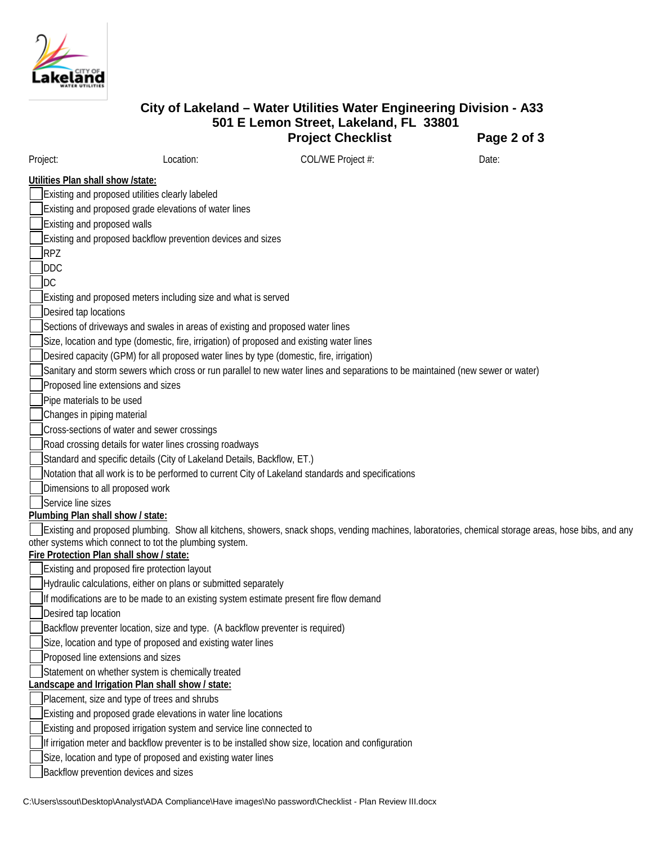

|                                          |                                                                                           | 501 E Lemon Street, Lakeland, FL 33801<br><b>Project Checklist</b>                                                             | Page 2 of 3                                                                                                                                         |
|------------------------------------------|-------------------------------------------------------------------------------------------|--------------------------------------------------------------------------------------------------------------------------------|-----------------------------------------------------------------------------------------------------------------------------------------------------|
| Project:                                 | Location:                                                                                 | COL/WE Project #:                                                                                                              | Date:                                                                                                                                               |
| Utilities Plan shall show /state:        |                                                                                           |                                                                                                                                |                                                                                                                                                     |
|                                          | Existing and proposed utilities clearly labeled                                           |                                                                                                                                |                                                                                                                                                     |
|                                          | Existing and proposed grade elevations of water lines                                     |                                                                                                                                |                                                                                                                                                     |
| Existing and proposed walls              |                                                                                           |                                                                                                                                |                                                                                                                                                     |
|                                          | Existing and proposed backflow prevention devices and sizes                               |                                                                                                                                |                                                                                                                                                     |
| RPZ                                      |                                                                                           |                                                                                                                                |                                                                                                                                                     |
| <b>DDC</b>                               |                                                                                           |                                                                                                                                |                                                                                                                                                     |
| <b>IDC</b>                               |                                                                                           |                                                                                                                                |                                                                                                                                                     |
|                                          | Existing and proposed meters including size and what is served                            |                                                                                                                                |                                                                                                                                                     |
| Desired tap locations                    |                                                                                           |                                                                                                                                |                                                                                                                                                     |
|                                          | Sections of driveways and swales in areas of existing and proposed water lines            |                                                                                                                                |                                                                                                                                                     |
|                                          | Size, location and type (domestic, fire, irrigation) of proposed and existing water lines |                                                                                                                                |                                                                                                                                                     |
|                                          | Desired capacity (GPM) for all proposed water lines by type (domestic, fire, irrigation)  |                                                                                                                                |                                                                                                                                                     |
|                                          |                                                                                           | Sanitary and storm sewers which cross or run parallel to new water lines and separations to be maintained (new sewer or water) |                                                                                                                                                     |
|                                          | Proposed line extensions and sizes                                                        |                                                                                                                                |                                                                                                                                                     |
| Pipe materials to be used                |                                                                                           |                                                                                                                                |                                                                                                                                                     |
| Changes in piping material               |                                                                                           |                                                                                                                                |                                                                                                                                                     |
|                                          | Cross-sections of water and sewer crossings                                               |                                                                                                                                |                                                                                                                                                     |
|                                          | Road crossing details for water lines crossing roadways                                   |                                                                                                                                |                                                                                                                                                     |
|                                          | Standard and specific details (City of Lakeland Details, Backflow, ET.)                   |                                                                                                                                |                                                                                                                                                     |
|                                          |                                                                                           | Notation that all work is to be performed to current City of Lakeland standards and specifications                             |                                                                                                                                                     |
| Dimensions to all proposed work          |                                                                                           |                                                                                                                                |                                                                                                                                                     |
| Service line sizes                       |                                                                                           |                                                                                                                                |                                                                                                                                                     |
| Plumbing Plan shall show / state:        |                                                                                           |                                                                                                                                |                                                                                                                                                     |
|                                          |                                                                                           |                                                                                                                                | Existing and proposed plumbing. Show all kitchens, showers, snack shops, vending machines, laboratories, chemical storage areas, hose bibs, and any |
| Fire Protection Plan shall show / state: | other systems which connect to tot the plumbing system.                                   |                                                                                                                                |                                                                                                                                                     |
|                                          | Existing and proposed fire protection layout                                              |                                                                                                                                |                                                                                                                                                     |
|                                          |                                                                                           |                                                                                                                                |                                                                                                                                                     |

**City of Lakeland – Water Utilities Water Engineering Division - A33**

Hydraulic calculations, either on plans or submitted separately

If modifications are to be made to an existing system estimate present fire flow demand

Desired tap location

Backflow preventer location, size and type. (A backflow preventer is required)

Size, location and type of proposed and existing water lines

Proposed line extensions and sizes

Statement on whether system is chemically treated

**Landscape and Irrigation Plan shall show / state:**

Placement, size and type of trees and shrubs

Existing and proposed grade elevations in water line locations

Existing and proposed irrigation system and service line connected to

If irrigation meter and backflow preventer is to be installed show size, location and configuration

Size, location and type of proposed and existing water lines

Backflow prevention devices and sizes

C:\Users\ssout\Desktop\Analyst\ADA Compliance\Have images\No password\Checklist - Plan Review III.docx